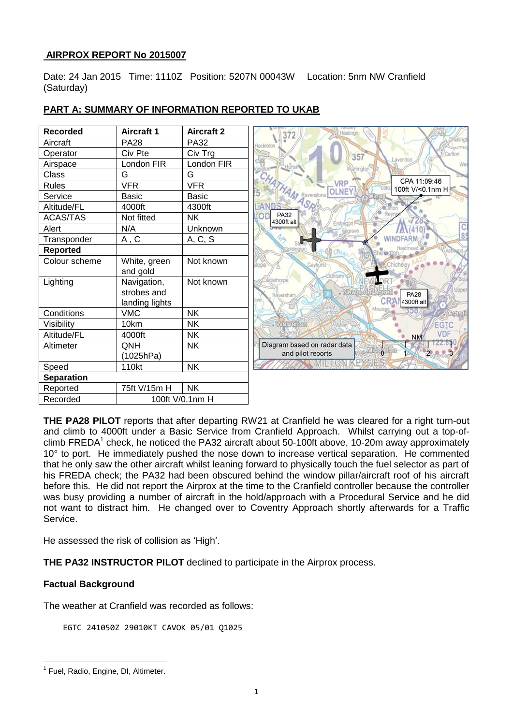## **AIRPROX REPORT No 2015007**

Date: 24 Jan 2015 Time: 1110Z Position: 5207N 00043W Location: 5nm NW Cranfield (Saturday)

| <b>Recorded</b>   | <b>Aircraft 1</b> | <b>Aircraft 2</b> |
|-------------------|-------------------|-------------------|
| Aircraft          | <b>PA28</b>       | <b>PA32</b>       |
| Operator          | Civ Pte           | Civ Trg           |
| Airspace          | London FIR        | London FIR        |
| Class             | G                 | G                 |
| <b>Rules</b>      | <b>VFR</b>        | <b>VFR</b>        |
| Service           | <b>Basic</b>      | <b>Basic</b>      |
| Altitude/FL       | 4000ft            | 4300ft            |
| <b>ACAS/TAS</b>   | Not fitted        | <b>NK</b>         |
| Alert             | N/A               | <b>Unknown</b>    |
| Transponder       | A, C              | A, C, S           |
| <b>Reported</b>   |                   |                   |
| Colour scheme     | White, green      | Not known         |
|                   | and gold          |                   |
| Lighting          | Navigation,       | Not known         |
|                   | strobes and       |                   |
|                   | landing lights    |                   |
| Conditions        | <b>VMC</b>        | <b>NK</b>         |
| Visibility        | 10km              | <b>NK</b>         |
| Altitude/FL       | 4000ft            | <b>NK</b>         |
| Altimeter         | QNH               | <b>NK</b>         |
|                   | (1025hPa)         |                   |
| Speed             | 110kt             | <b>NK</b>         |
| <b>Separation</b> |                   |                   |
| Reported          | 75ft V/15m H      | <b>NK</b>         |
| Recorded          |                   | 100ft V/0.1nm H   |

# **PART A: SUMMARY OF INFORMATION REPORTED TO UKAB**

**THE PA28 PILOT** reports that after departing RW21 at Cranfield he was cleared for a right turn-out and climb to 4000ft under a Basic Service from Cranfield Approach. Whilst carrying out a top-ofclimb FREDA<sup>1</sup> check, he noticed the PA32 aircraft about 50-100ft above, 10-20m away approximately 10° to port. He immediately pushed the nose down to increase vertical separation. He commented that he only saw the other aircraft whilst leaning forward to physically touch the fuel selector as part of his FREDA check; the PA32 had been obscured behind the window pillar/aircraft roof of his aircraft before this. He did not report the Airprox at the time to the Cranfield controller because the controller was busy providing a number of aircraft in the hold/approach with a Procedural Service and he did not want to distract him. He changed over to Coventry Approach shortly afterwards for a Traffic Service.

He assessed the risk of collision as 'High'.

**THE PA32 INSTRUCTOR PILOT** declined to participate in the Airprox process.

### **Factual Background**

 $\overline{a}$ 

The weather at Cranfield was recorded as follows:

EGTC 241050Z 29010KT CAVOK 05/01 Q1025

<sup>&</sup>lt;sup>1</sup> Fuel, Radio, Engine, DI, Altimeter.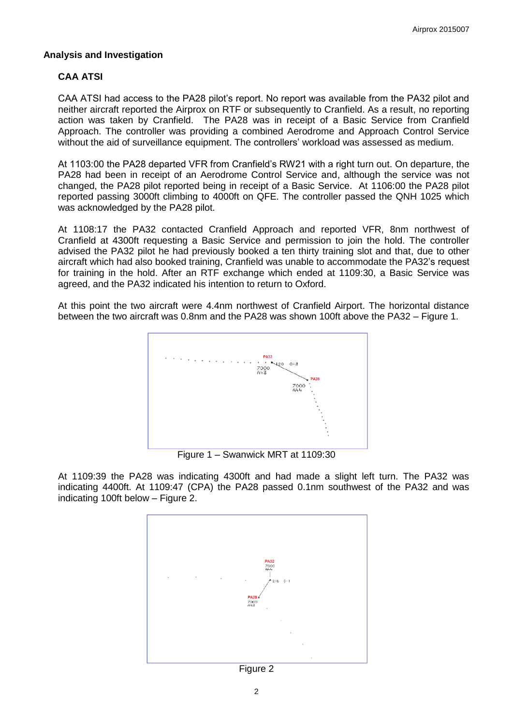#### **Analysis and Investigation**

## **CAA ATSI**

CAA ATSI had access to the PA28 pilot's report. No report was available from the PA32 pilot and neither aircraft reported the Airprox on RTF or subsequently to Cranfield. As a result, no reporting action was taken by Cranfield. The PA28 was in receipt of a Basic Service from Cranfield Approach. The controller was providing a combined Aerodrome and Approach Control Service without the aid of surveillance equipment. The controllers' workload was assessed as medium.

At 1103:00 the PA28 departed VFR from Cranfield's RW21 with a right turn out. On departure, the PA28 had been in receipt of an Aerodrome Control Service and, although the service was not changed, the PA28 pilot reported being in receipt of a Basic Service. At 1106:00 the PA28 pilot reported passing 3000ft climbing to 4000ft on QFE. The controller passed the QNH 1025 which was acknowledged by the PA28 pilot.

At 1108:17 the PA32 contacted Cranfield Approach and reported VFR, 8nm northwest of Cranfield at 4300ft requesting a Basic Service and permission to join the hold. The controller advised the PA32 pilot he had previously booked a ten thirty training slot and that, due to other aircraft which had also booked training, Cranfield was unable to accommodate the PA32's request for training in the hold. After an RTF exchange which ended at 1109:30, a Basic Service was agreed, and the PA32 indicated his intention to return to Oxford.

At this point the two aircraft were 4.4nm northwest of Cranfield Airport. The horizontal distance between the two aircraft was 0.8nm and the PA28 was shown 100ft above the PA32 – Figure 1.



Figure 1 – Swanwick MRT at 1109:30

At 1109:39 the PA28 was indicating 4300ft and had made a slight left turn. The PA32 was indicating 4400ft. At 1109:47 (CPA) the PA28 passed 0.1nm southwest of the PA32 and was indicating 100ft below – Figure 2.



Figure 2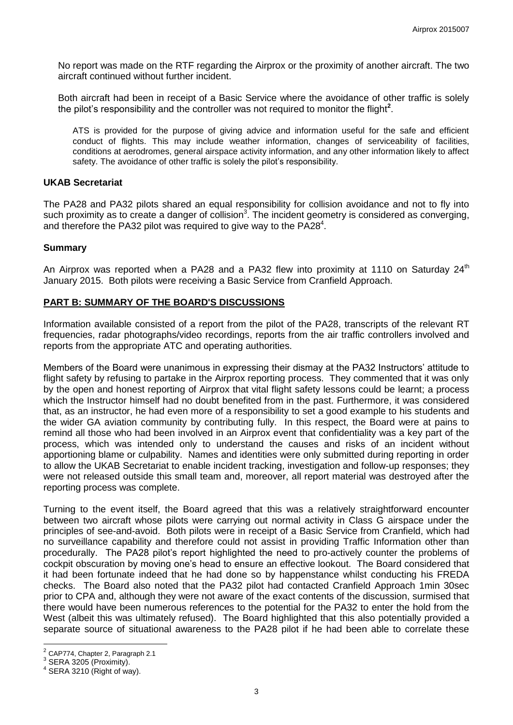No report was made on the RTF regarding the Airprox or the proximity of another aircraft. The two aircraft continued without further incident.

Both aircraft had been in receipt of a Basic Service where the avoidance of other traffic is solely the pilot's responsibility and the controller was not required to monitor the flight**<sup>2</sup>** .

ATS is provided for the purpose of giving advice and information useful for the safe and efficient conduct of flights. This may include weather information, changes of serviceability of facilities, conditions at aerodromes, general airspace activity information, and any other information likely to affect safety. The avoidance of other traffic is solely the pilot's responsibility.

#### **UKAB Secretariat**

The PA28 and PA32 pilots shared an equal responsibility for collision avoidance and not to fly into such proximity as to create a danger of collision<sup>3</sup>. The incident geometry is considered as converging, and therefore the PA32 pilot was required to give way to the PA28 $4$ .

#### **Summary**

An Airprox was reported when a PA28 and a PA32 flew into proximity at 1110 on Saturday  $24<sup>th</sup>$ January 2015. Both pilots were receiving a Basic Service from Cranfield Approach.

#### **PART B: SUMMARY OF THE BOARD'S DISCUSSIONS**

Information available consisted of a report from the pilot of the PA28, transcripts of the relevant RT frequencies, radar photographs/video recordings, reports from the air traffic controllers involved and reports from the appropriate ATC and operating authorities.

Members of the Board were unanimous in expressing their dismay at the PA32 Instructors' attitude to flight safety by refusing to partake in the Airprox reporting process. They commented that it was only by the open and honest reporting of Airprox that vital flight safety lessons could be learnt; a process which the Instructor himself had no doubt benefited from in the past. Furthermore, it was considered that, as an instructor, he had even more of a responsibility to set a good example to his students and the wider GA aviation community by contributing fully. In this respect, the Board were at pains to remind all those who had been involved in an Airprox event that confidentiality was a key part of the process, which was intended only to understand the causes and risks of an incident without apportioning blame or culpability. Names and identities were only submitted during reporting in order to allow the UKAB Secretariat to enable incident tracking, investigation and follow-up responses; they were not released outside this small team and, moreover, all report material was destroyed after the reporting process was complete.

Turning to the event itself, the Board agreed that this was a relatively straightforward encounter between two aircraft whose pilots were carrying out normal activity in Class G airspace under the principles of see-and-avoid. Both pilots were in receipt of a Basic Service from Cranfield, which had no surveillance capability and therefore could not assist in providing Traffic Information other than procedurally. The PA28 pilot's report highlighted the need to pro-actively counter the problems of cockpit obscuration by moving one's head to ensure an effective lookout. The Board considered that it had been fortunate indeed that he had done so by happenstance whilst conducting his FREDA checks. The Board also noted that the PA32 pilot had contacted Cranfield Approach 1min 30sec prior to CPA and, although they were not aware of the exact contents of the discussion, surmised that there would have been numerous references to the potential for the PA32 to enter the hold from the West (albeit this was ultimately refused). The Board highlighted that this also potentially provided a separate source of situational awareness to the PA28 pilot if he had been able to correlate these

<sup>&</sup>lt;u>.</u><br><sup>2</sup> CAP774, Chapter 2, Paragraph 2.1

 $3$  SERA 3205 (Proximity).

 $4$  SERA 3210 (Right of way).